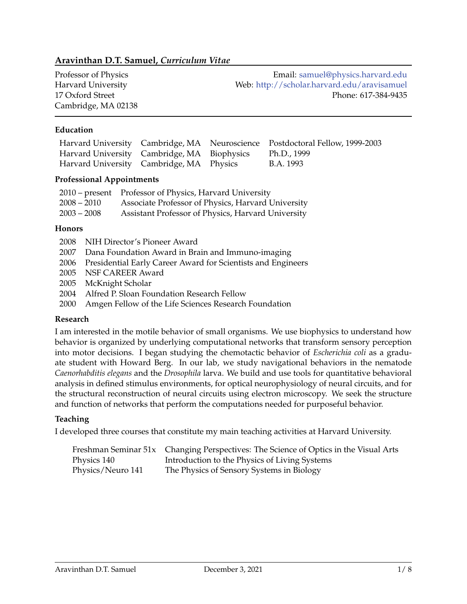# **Aravinthan D.T. Samuel,** *Curriculum Vitae*

Cambridge, MA 02138

Professor of Physics **Email:** [samuel@physics.harvard.edu](mailto:samuel@physics.harvard.edu) Harvard University Web: <http://scholar.harvard.edu/aravisamuel> 17 Oxford Street Phone: 617-384-9435

## **Education**

|                                                         |  | Harvard University Cambridge, MA Neuroscience Postdoctoral Fellow, 1999-2003 |
|---------------------------------------------------------|--|------------------------------------------------------------------------------|
| Harvard University Cambridge, MA Biophysics Ph.D., 1999 |  |                                                                              |
| Harvard University Cambridge, MA Physics                |  | B.A. 1993                                                                    |

## **Professional Appointments**

|               | 2010 – present Professor of Physics, Harvard University |
|---------------|---------------------------------------------------------|
| $2008 - 2010$ | Associate Professor of Physics, Harvard University      |
| $2003 - 2008$ | Assistant Professor of Physics, Harvard University      |

#### **Honors**

- 2008 NIH Director's Pioneer Award
- 2007 Dana Foundation Award in Brain and Immuno-imaging
- 2006 Presidential Early Career Award for Scientists and Engineers
- 2005 NSF CAREER Award
- 2005 McKnight Scholar
- 2004 Alfred P. Sloan Foundation Research Fellow
- 2000 Amgen Fellow of the Life Sciences Research Foundation

## **Research**

I am interested in the motile behavior of small organisms. We use biophysics to understand how behavior is organized by underlying computational networks that transform sensory perception into motor decisions. I began studying the chemotactic behavior of *Escherichia coli* as a graduate student with Howard Berg. In our lab, we study navigational behaviors in the nematode *Caenorhabditis elegans* and the *Drosophila* larva. We build and use tools for quantitative behavioral analysis in defined stimulus environments, for optical neurophysiology of neural circuits, and for the structural reconstruction of neural circuits using electron microscopy. We seek the structure and function of networks that perform the computations needed for purposeful behavior.

## **Teaching**

I developed three courses that constitute my main teaching activities at Harvard University.

|                   | Freshman Seminar 51x Changing Perspectives: The Science of Optics in the Visual Arts |
|-------------------|--------------------------------------------------------------------------------------|
| Physics 140       | Introduction to the Physics of Living Systems                                        |
| Physics/Neuro 141 | The Physics of Sensory Systems in Biology                                            |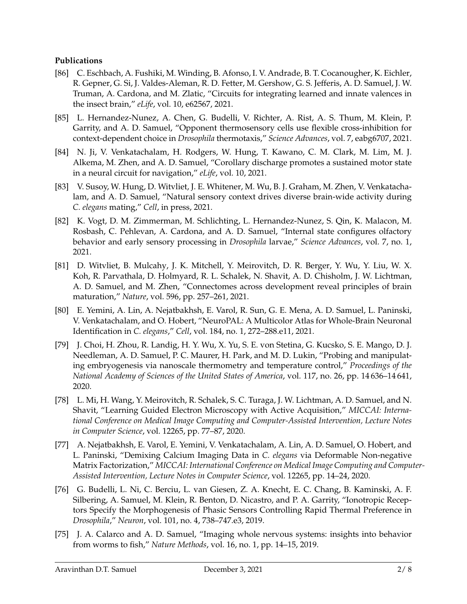## **Publications**

- [86] C. Eschbach, A. Fushiki, M. Winding, B. Afonso, I. V. Andrade, B. T. Cocanougher, K. Eichler, R. Gepner, G. Si, J. Valdes-Aleman, R. D. Fetter, M. Gershow, G. S. Jefferis, A. D. Samuel, J. W. Truman, A. Cardona, and M. Zlatic, "Circuits for integrating learned and innate valences in the insect brain," *eLife*, vol. 10, e62567, 2021.
- [85] L. Hernandez-Nunez, A. Chen, G. Budelli, V. Richter, A. Rist, A. S. Thum, M. Klein, P. Garrity, and A. D. Samuel, "Opponent thermosensory cells use flexible cross-inhibition for context-dependent choice in *Drosophila* thermotaxis," *Science Advances*, vol. 7, eabg6707, 2021.
- [84] N. Ji, V. Venkatachalam, H. Rodgers, W. Hung, T. Kawano, C. M. Clark, M. Lim, M. J. Alkema, M. Zhen, and A. D. Samuel, "Corollary discharge promotes a sustained motor state in a neural circuit for navigation," *eLife*, vol. 10, 2021.
- [83] V. Susoy, W. Hung, D. Witvliet, J. E. Whitener, M. Wu, B. J. Graham, M. Zhen, V. Venkatachalam, and A. D. Samuel, "Natural sensory context drives diverse brain-wide activity during *C. elegans* mating," *Cell*, in press, 2021.
- [82] K. Vogt, D. M. Zimmerman, M. Schlichting, L. Hernandez-Nunez, S. Qin, K. Malacon, M. Rosbash, C. Pehlevan, A. Cardona, and A. D. Samuel, "Internal state configures olfactory behavior and early sensory processing in *Drosophila* larvae," *Science Advances*, vol. 7, no. 1, 2021.
- [81] D. Witvliet, B. Mulcahy, J. K. Mitchell, Y. Meirovitch, D. R. Berger, Y. Wu, Y. Liu, W. X. Koh, R. Parvathala, D. Holmyard, R. L. Schalek, N. Shavit, A. D. Chisholm, J. W. Lichtman, A. D. Samuel, and M. Zhen, "Connectomes across development reveal principles of brain maturation," *Nature*, vol. 596, pp. 257–261, 2021.
- [80] E. Yemini, A. Lin, A. Nejatbakhsh, E. Varol, R. Sun, G. E. Mena, A. D. Samuel, L. Paninski, V. Venkatachalam, and O. Hobert, "NeuroPAL: A Multicolor Atlas for Whole-Brain Neuronal Identification in *C. elegans*," *Cell*, vol. 184, no. 1, 272–288.e11, 2021.
- [79] J. Choi, H. Zhou, R. Landig, H. Y. Wu, X. Yu, S. E. von Stetina, G. Kucsko, S. E. Mango, D. J. Needleman, A. D. Samuel, P. C. Maurer, H. Park, and M. D. Lukin, "Probing and manipulating embryogenesis via nanoscale thermometry and temperature control," *Proceedings of the National Academy of Sciences of the United States of America*, vol. 117, no. 26, pp. 14 636–14 641, 2020.
- [78] L. Mi, H. Wang, Y. Meirovitch, R. Schalek, S. C. Turaga, J. W. Lichtman, A. D. Samuel, and N. Shavit, "Learning Guided Electron Microscopy with Active Acquisition," *MICCAI: International Conference on Medical Image Computing and Computer-Assisted Intervention, Lecture Notes in Computer Science*, vol. 12265, pp. 77–87, 2020.
- [77] A. Nejatbakhsh, E. Varol, E. Yemini, V. Venkatachalam, A. Lin, A. D. Samuel, O. Hobert, and L. Paninski, "Demixing Calcium Imaging Data in *C. elegans* via Deformable Non-negative Matrix Factorization," *MICCAI: International Conference on Medical Image Computing and Computer-Assisted Intervention, Lecture Notes in Computer Science*, vol. 12265, pp. 14–24, 2020.
- [76] G. Budelli, L. Ni, C. Berciu, L. van Giesen, Z. A. Knecht, E. C. Chang, B. Kaminski, A. F. Silbering, A. Samuel, M. Klein, R. Benton, D. Nicastro, and P. A. Garrity, "Ionotropic Receptors Specify the Morphogenesis of Phasic Sensors Controlling Rapid Thermal Preference in *Drosophila*," *Neuron*, vol. 101, no. 4, 738–747.e3, 2019.
- [75] J. A. Calarco and A. D. Samuel, "Imaging whole nervous systems: insights into behavior from worms to fish," *Nature Methods*, vol. 16, no. 1, pp. 14–15, 2019.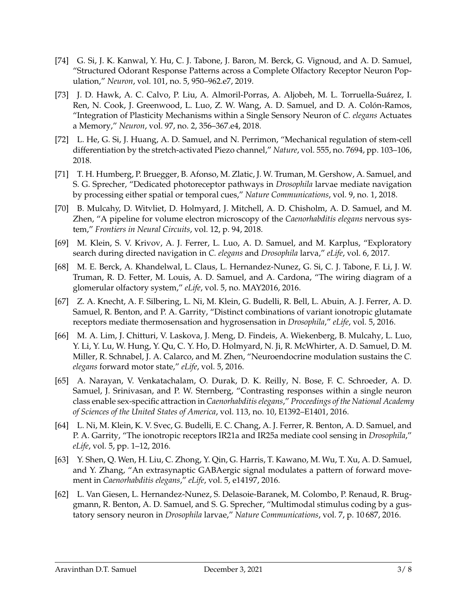- [74] G. Si, J. K. Kanwal, Y. Hu, C. J. Tabone, J. Baron, M. Berck, G. Vignoud, and A. D. Samuel, "Structured Odorant Response Patterns across a Complete Olfactory Receptor Neuron Population," *Neuron*, vol. 101, no. 5, 950–962.e7, 2019.
- [73] J. D. Hawk, A. C. Calvo, P. Liu, A. Almoril-Porras, A. Aljobeh, M. L. Torruella-Suárez, I. Ren, N. Cook, J. Greenwood, L. Luo, Z. W. Wang, A. D. Samuel, and D. A. Colón-Ramos, "Integration of Plasticity Mechanisms within a Single Sensory Neuron of *C. elegans* Actuates a Memory," *Neuron*, vol. 97, no. 2, 356–367.e4, 2018.
- [72] L. He, G. Si, J. Huang, A. D. Samuel, and N. Perrimon, "Mechanical regulation of stem-cell differentiation by the stretch-activated Piezo channel," *Nature*, vol. 555, no. 7694, pp. 103–106, 2018.
- [71] T. H. Humberg, P. Bruegger, B. Afonso, M. Zlatic, J. W. Truman, M. Gershow, A. Samuel, and S. G. Sprecher, "Dedicated photoreceptor pathways in *Drosophila* larvae mediate navigation by processing either spatial or temporal cues," *Nature Communications*, vol. 9, no. 1, 2018.
- [70] B. Mulcahy, D. Witvliet, D. Holmyard, J. Mitchell, A. D. Chisholm, A. D. Samuel, and M. Zhen, "A pipeline for volume electron microscopy of the *Caenorhabditis elegans* nervous system," *Frontiers in Neural Circuits*, vol. 12, p. 94, 2018.
- [69] M. Klein, S. V. Krivov, A. J. Ferrer, L. Luo, A. D. Samuel, and M. Karplus, "Exploratory search during directed navigation in *C. elegans* and *Drosophila* larva," *eLife*, vol. 6, 2017.
- [68] M. E. Berck, A. Khandelwal, L. Claus, L. Hernandez-Nunez, G. Si, C. J. Tabone, F. Li, J. W. Truman, R. D. Fetter, M. Louis, A. D. Samuel, and A. Cardona, "The wiring diagram of a glomerular olfactory system," *eLife*, vol. 5, no. MAY2016, 2016.
- [67] Z. A. Knecht, A. F. Silbering, L. Ni, M. Klein, G. Budelli, R. Bell, L. Abuin, A. J. Ferrer, A. D. Samuel, R. Benton, and P. A. Garrity, "Distinct combinations of variant ionotropic glutamate receptors mediate thermosensation and hygrosensation in *Drosophila*," *eLife*, vol. 5, 2016.
- [66] M. A. Lim, J. Chitturi, V. Laskova, J. Meng, D. Findeis, A. Wiekenberg, B. Mulcahy, L. Luo, Y. Li, Y. Lu, W. Hung, Y. Qu, C. Y. Ho, D. Holmyard, N. Ji, R. McWhirter, A. D. Samuel, D. M. Miller, R. Schnabel, J. A. Calarco, and M. Zhen, "Neuroendocrine modulation sustains the *C. elegans* forward motor state," *eLife*, vol. 5, 2016.
- [65] A. Narayan, V. Venkatachalam, O. Durak, D. K. Reilly, N. Bose, F. C. Schroeder, A. D. Samuel, J. Srinivasan, and P. W. Sternberg, "Contrasting responses within a single neuron class enable sex-specific attraction in *Caenorhabditis elegans*," *Proceedings of the National Academy of Sciences of the United States of America*, vol. 113, no. 10, E1392–E1401, 2016.
- [64] L. Ni, M. Klein, K. V. Svec, G. Budelli, E. C. Chang, A. J. Ferrer, R. Benton, A. D. Samuel, and P. A. Garrity, "The ionotropic receptors IR21a and IR25a mediate cool sensing in *Drosophila*," *eLife*, vol. 5, pp. 1–12, 2016.
- [63] Y. Shen, Q. Wen, H. Liu, C. Zhong, Y. Qin, G. Harris, T. Kawano, M. Wu, T. Xu, A. D. Samuel, and Y. Zhang, "An extrasynaptic GABAergic signal modulates a pattern of forward movement in *Caenorhabditis elegans*," *eLife*, vol. 5, e14197, 2016.
- [62] L. Van Giesen, L. Hernandez-Nunez, S. Delasoie-Baranek, M. Colombo, P. Renaud, R. Bruggmann, R. Benton, A. D. Samuel, and S. G. Sprecher, "Multimodal stimulus coding by a gustatory sensory neuron in *Drosophila* larvae," *Nature Communications*, vol. 7, p. 10 687, 2016.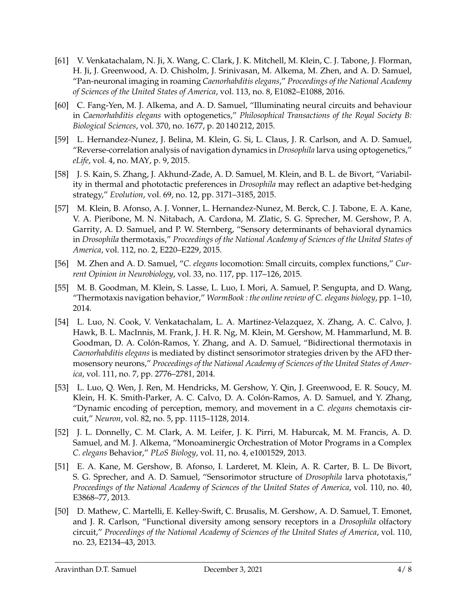- [61] V. Venkatachalam, N. Ji, X. Wang, C. Clark, J. K. Mitchell, M. Klein, C. J. Tabone, J. Florman, H. Ji, J. Greenwood, A. D. Chisholm, J. Srinivasan, M. Alkema, M. Zhen, and A. D. Samuel, "Pan-neuronal imaging in roaming *Caenorhabditis elegans*," *Proceedings of the National Academy of Sciences of the United States of America*, vol. 113, no. 8, E1082–E1088, 2016.
- [60] C. Fang-Yen, M. J. Alkema, and A. D. Samuel, "Illuminating neural circuits and behaviour in *Caenorhabditis elegans* with optogenetics," *Philosophical Transactions of the Royal Society B: Biological Sciences*, vol. 370, no. 1677, p. 20 140 212, 2015.
- [59] L. Hernandez-Nunez, J. Belina, M. Klein, G. Si, L. Claus, J. R. Carlson, and A. D. Samuel, "Reverse-correlation analysis of navigation dynamics in *Drosophila* larva using optogenetics," *eLife*, vol. 4, no. MAY, p. 9, 2015.
- [58] J. S. Kain, S. Zhang, J. Akhund-Zade, A. D. Samuel, M. Klein, and B. L. de Bivort, "Variability in thermal and phototactic preferences in *Drosophila* may reflect an adaptive bet-hedging strategy," *Evolution*, vol. 69, no. 12, pp. 3171–3185, 2015.
- [57] M. Klein, B. Afonso, A. J. Vonner, L. Hernandez-Nunez, M. Berck, C. J. Tabone, E. A. Kane, V. A. Pieribone, M. N. Nitabach, A. Cardona, M. Zlatic, S. G. Sprecher, M. Gershow, P. A. Garrity, A. D. Samuel, and P. W. Sternberg, "Sensory determinants of behavioral dynamics in *Drosophila* thermotaxis," *Proceedings of the National Academy of Sciences of the United States of America*, vol. 112, no. 2, E220–E229, 2015.
- [56] M. Zhen and A. D. Samuel, "*C. elegans* locomotion: Small circuits, complex functions," *Current Opinion in Neurobiology*, vol. 33, no. 117, pp. 117–126, 2015.
- [55] M. B. Goodman, M. Klein, S. Lasse, L. Luo, I. Mori, A. Samuel, P. Sengupta, and D. Wang, "Thermotaxis navigation behavior," *WormBook : the online review of C. elegans biology*, pp. 1–10, 2014.
- [54] L. Luo, N. Cook, V. Venkatachalam, L. A. Martinez-Velazquez, X. Zhang, A. C. Calvo, J. Hawk, B. L. MacInnis, M. Frank, J. H. R. Ng, M. Klein, M. Gershow, M. Hammarlund, M. B. Goodman, D. A. Colón-Ramos, Y. Zhang, and A. D. Samuel, "Bidirectional thermotaxis in *Caenorhabditis elegans* is mediated by distinct sensorimotor strategies driven by the AFD thermosensory neurons," *Proceedings of the National Academy of Sciences of the United States of America*, vol. 111, no. 7, pp. 2776–2781, 2014.
- [53] L. Luo, Q. Wen, J. Ren, M. Hendricks, M. Gershow, Y. Qin, J. Greenwood, E. R. Soucy, M. Klein, H. K. Smith-Parker, A. C. Calvo, D. A. Colón-Ramos, A. D. Samuel, and Y. Zhang, "Dynamic encoding of perception, memory, and movement in a *C. elegans* chemotaxis circuit," *Neuron*, vol. 82, no. 5, pp. 1115–1128, 2014.
- [52] J. L. Donnelly, C. M. Clark, A. M. Leifer, J. K. Pirri, M. Haburcak, M. M. Francis, A. D. Samuel, and M. J. Alkema, "Monoaminergic Orchestration of Motor Programs in a Complex *C. elegans* Behavior," *PLoS Biology*, vol. 11, no. 4, e1001529, 2013.
- [51] E. A. Kane, M. Gershow, B. Afonso, I. Larderet, M. Klein, A. R. Carter, B. L. De Bivort, S. G. Sprecher, and A. D. Samuel, "Sensorimotor structure of *Drosophila* larva phototaxis," *Proceedings of the National Academy of Sciences of the United States of America*, vol. 110, no. 40, E3868–77, 2013.
- [50] D. Mathew, C. Martelli, E. Kelley-Swift, C. Brusalis, M. Gershow, A. D. Samuel, T. Emonet, and J. R. Carlson, "Functional diversity among sensory receptors in a *Drosophila* olfactory circuit," *Proceedings of the National Academy of Sciences of the United States of America*, vol. 110, no. 23, E2134–43, 2013.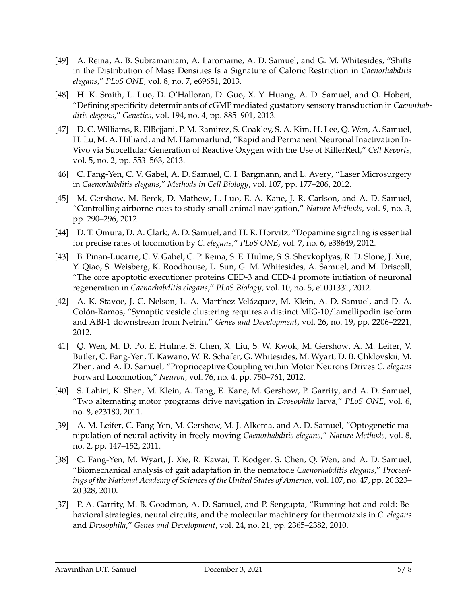- [49] A. Reina, A. B. Subramaniam, A. Laromaine, A. D. Samuel, and G. M. Whitesides, "Shifts in the Distribution of Mass Densities Is a Signature of Caloric Restriction in *Caenorhabditis elegans*," *PLoS ONE*, vol. 8, no. 7, e69651, 2013.
- [48] H. K. Smith, L. Luo, D. O'Halloran, D. Guo, X. Y. Huang, A. D. Samuel, and O. Hobert, "Defining specificity determinants of cGMP mediated gustatory sensory transduction in *Caenorhabditis elegans*," *Genetics*, vol. 194, no. 4, pp. 885–901, 2013.
- [47] D. C. Williams, R. ElBejjani, P. M. Ramirez, S. Coakley, S. A. Kim, H. Lee, Q. Wen, A. Samuel, H. Lu, M. A. Hilliard, and M. Hammarlund, "Rapid and Permanent Neuronal Inactivation In-Vivo via Subcellular Generation of Reactive Oxygen with the Use of KillerRed," *Cell Reports*, vol. 5, no. 2, pp. 553–563, 2013.
- [46] C. Fang-Yen, C. V. Gabel, A. D. Samuel, C. I. Bargmann, and L. Avery, "Laser Microsurgery in *Caenorhabditis elegans*," *Methods in Cell Biology*, vol. 107, pp. 177–206, 2012.
- [45] M. Gershow, M. Berck, D. Mathew, L. Luo, E. A. Kane, J. R. Carlson, and A. D. Samuel, "Controlling airborne cues to study small animal navigation," *Nature Methods*, vol. 9, no. 3, pp. 290–296, 2012.
- [44] D. T. Omura, D. A. Clark, A. D. Samuel, and H. R. Horvitz, "Dopamine signaling is essential for precise rates of locomotion by *C. elegans*," *PLoS ONE*, vol. 7, no. 6, e38649, 2012.
- [43] B. Pinan-Lucarre, C. V. Gabel, C. P. Reina, S. E. Hulme, S. S. Shevkoplyas, R. D. Slone, J. Xue, Y. Qiao, S. Weisberg, K. Roodhouse, L. Sun, G. M. Whitesides, A. Samuel, and M. Driscoll, "The core apoptotic executioner proteins CED-3 and CED-4 promote initiation of neuronal regeneration in *Caenorhabditis elegans*," *PLoS Biology*, vol. 10, no. 5, e1001331, 2012.
- [42] A. K. Stavoe, J. C. Nelson, L. A. Martínez-Velázquez, M. Klein, A. D. Samuel, and D. A. Colón-Ramos, "Synaptic vesicle clustering requires a distinct MIG-10/lamellipodin isoform and ABI-1 downstream from Netrin," *Genes and Development*, vol. 26, no. 19, pp. 2206–2221, 2012.
- [41] Q. Wen, M. D. Po, E. Hulme, S. Chen, X. Liu, S. W. Kwok, M. Gershow, A. M. Leifer, V. Butler, C. Fang-Yen, T. Kawano, W. R. Schafer, G. Whitesides, M. Wyart, D. B. Chklovskii, M. Zhen, and A. D. Samuel, "Proprioceptive Coupling within Motor Neurons Drives *C. elegans* Forward Locomotion," *Neuron*, vol. 76, no. 4, pp. 750–761, 2012.
- [40] S. Lahiri, K. Shen, M. Klein, A. Tang, E. Kane, M. Gershow, P. Garrity, and A. D. Samuel, "Two alternating motor programs drive navigation in *Drosophila* larva," *PLoS ONE*, vol. 6, no. 8, e23180, 2011.
- [39] A. M. Leifer, C. Fang-Yen, M. Gershow, M. J. Alkema, and A. D. Samuel, "Optogenetic manipulation of neural activity in freely moving *Caenorhabditis elegans*," *Nature Methods*, vol. 8, no. 2, pp. 147–152, 2011.
- [38] C. Fang-Yen, M. Wyart, J. Xie, R. Kawai, T. Kodger, S. Chen, Q. Wen, and A. D. Samuel, "Biomechanical analysis of gait adaptation in the nematode *Caenorhabditis elegans*," *Proceedings of the National Academy of Sciences of the United States of America*, vol. 107, no. 47, pp. 20 323– 20 328, 2010.
- [37] P. A. Garrity, M. B. Goodman, A. D. Samuel, and P. Sengupta, "Running hot and cold: Behavioral strategies, neural circuits, and the molecular machinery for thermotaxis in *C. elegans* and *Drosophila*," *Genes and Development*, vol. 24, no. 21, pp. 2365–2382, 2010.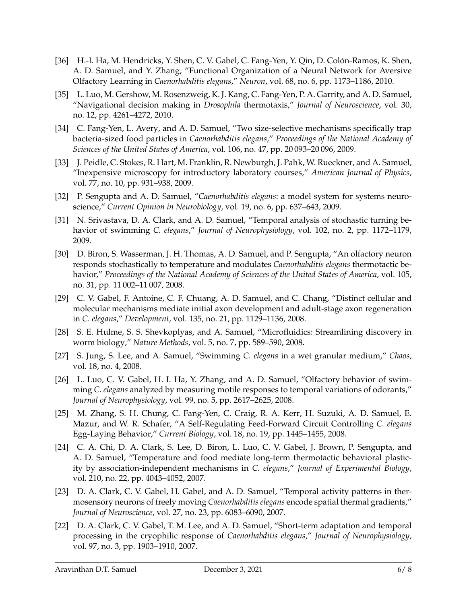- [36] H.-I. Ha, M. Hendricks, Y. Shen, C. V. Gabel, C. Fang-Yen, Y. Qin, D. Colón-Ramos, K. Shen, A. D. Samuel, and Y. Zhang, "Functional Organization of a Neural Network for Aversive Olfactory Learning in *Caenorhabditis elegans*," *Neuron*, vol. 68, no. 6, pp. 1173–1186, 2010.
- [35] L. Luo, M. Gershow, M. Rosenzweig, K. J. Kang, C. Fang-Yen, P. A. Garrity, and A. D. Samuel, "Navigational decision making in *Drosophila* thermotaxis," *Journal of Neuroscience*, vol. 30, no. 12, pp. 4261–4272, 2010.
- [34] C. Fang-Yen, L. Avery, and A. D. Samuel, "Two size-selective mechanisms specifically trap bacteria-sized food particles in *Caenorhabditis elegans*," *Proceedings of the National Academy of Sciences of the United States of America*, vol. 106, no. 47, pp. 20 093–20 096, 2009.
- [33] J. Peidle, C. Stokes, R. Hart, M. Franklin, R. Newburgh, J. Pahk, W. Rueckner, and A. Samuel, "Inexpensive microscopy for introductory laboratory courses," *American Journal of Physics*, vol. 77, no. 10, pp. 931–938, 2009.
- [32] P. Sengupta and A. D. Samuel, "*Caenorhabditis elegans*: a model system for systems neuroscience," *Current Opinion in Neurobiology*, vol. 19, no. 6, pp. 637–643, 2009.
- [31] N. Srivastava, D. A. Clark, and A. D. Samuel, "Temporal analysis of stochastic turning behavior of swimming *C. elegans*," *Journal of Neurophysiology*, vol. 102, no. 2, pp. 1172–1179, 2009.
- [30] D. Biron, S. Wasserman, J. H. Thomas, A. D. Samuel, and P. Sengupta, "An olfactory neuron responds stochastically to temperature and modulates *Caenorhabditis elegans* thermotactic behavior," *Proceedings of the National Academy of Sciences of the United States of America*, vol. 105, no. 31, pp. 11 002–11 007, 2008.
- [29] C. V. Gabel, F. Antoine, C. F. Chuang, A. D. Samuel, and C. Chang, "Distinct cellular and molecular mechanisms mediate initial axon development and adult-stage axon regeneration in *C. elegans*," *Development*, vol. 135, no. 21, pp. 1129–1136, 2008.
- [28] S. E. Hulme, S. S. Shevkoplyas, and A. Samuel, "Microfluidics: Streamlining discovery in worm biology," *Nature Methods*, vol. 5, no. 7, pp. 589–590, 2008.
- [27] S. Jung, S. Lee, and A. Samuel, "Swimming *C. elegans* in a wet granular medium," *Chaos*, vol. 18, no. 4, 2008.
- [26] L. Luo, C. V. Gabel, H. I. Ha, Y. Zhang, and A. D. Samuel, "Olfactory behavior of swimming *C. elegans* analyzed by measuring motile responses to temporal variations of odorants," *Journal of Neurophysiology*, vol. 99, no. 5, pp. 2617–2625, 2008.
- [25] M. Zhang, S. H. Chung, C. Fang-Yen, C. Craig, R. A. Kerr, H. Suzuki, A. D. Samuel, E. Mazur, and W. R. Schafer, "A Self-Regulating Feed-Forward Circuit Controlling *C. elegans* Egg-Laying Behavior," *Current Biology*, vol. 18, no. 19, pp. 1445–1455, 2008.
- [24] C. A. Chi, D. A. Clark, S. Lee, D. Biron, L. Luo, C. V. Gabel, J. Brown, P. Sengupta, and A. D. Samuel, "Temperature and food mediate long-term thermotactic behavioral plasticity by association-independent mechanisms in *C. elegans*," *Journal of Experimental Biology*, vol. 210, no. 22, pp. 4043–4052, 2007.
- [23] D. A. Clark, C. V. Gabel, H. Gabel, and A. D. Samuel, "Temporal activity patterns in thermosensory neurons of freely moving *Caenorhabditis elegans* encode spatial thermal gradients," *Journal of Neuroscience*, vol. 27, no. 23, pp. 6083–6090, 2007.
- [22] D. A. Clark, C. V. Gabel, T. M. Lee, and A. D. Samuel, "Short-term adaptation and temporal processing in the cryophilic response of *Caenorhabditis elegans*," *Journal of Neurophysiology*, vol. 97, no. 3, pp. 1903–1910, 2007.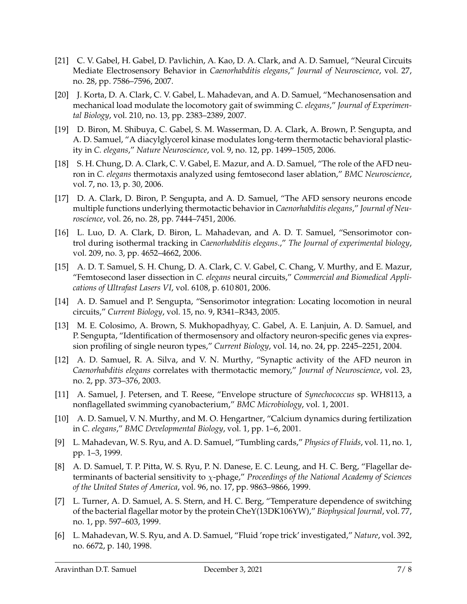- [21] C. V. Gabel, H. Gabel, D. Pavlichin, A. Kao, D. A. Clark, and A. D. Samuel, "Neural Circuits Mediate Electrosensory Behavior in *Caenorhabditis elegans*," *Journal of Neuroscience*, vol. 27, no. 28, pp. 7586–7596, 2007.
- [20] J. Korta, D. A. Clark, C. V. Gabel, L. Mahadevan, and A. D. Samuel, "Mechanosensation and mechanical load modulate the locomotory gait of swimming *C. elegans*," *Journal of Experimental Biology*, vol. 210, no. 13, pp. 2383–2389, 2007.
- [19] D. Biron, M. Shibuya, C. Gabel, S. M. Wasserman, D. A. Clark, A. Brown, P. Sengupta, and A. D. Samuel, "A diacylglycerol kinase modulates long-term thermotactic behavioral plasticity in *C. elegans*," *Nature Neuroscience*, vol. 9, no. 12, pp. 1499–1505, 2006.
- [18] S. H. Chung, D. A. Clark, C. V. Gabel, E. Mazur, and A. D. Samuel, "The role of the AFD neuron in *C. elegans* thermotaxis analyzed using femtosecond laser ablation," *BMC Neuroscience*, vol. 7, no. 13, p. 30, 2006.
- [17] D. A. Clark, D. Biron, P. Sengupta, and A. D. Samuel, "The AFD sensory neurons encode multiple functions underlying thermotactic behavior in *Caenorhabditis elegans*," *Journal of Neuroscience*, vol. 26, no. 28, pp. 7444–7451, 2006.
- [16] L. Luo, D. A. Clark, D. Biron, L. Mahadevan, and A. D. T. Samuel, "Sensorimotor control during isothermal tracking in *Caenorhabditis elegans*.," *The Journal of experimental biology*, vol. 209, no. 3, pp. 4652–4662, 2006.
- [15] A. D. T. Samuel, S. H. Chung, D. A. Clark, C. V. Gabel, C. Chang, V. Murthy, and E. Mazur, "Femtosecond laser dissection in *C. elegans* neural circuits," *Commercial and Biomedical Applications of Ultrafast Lasers VI*, vol. 6108, p. 610 801, 2006.
- [14] A. D. Samuel and P. Sengupta, "Sensorimotor integration: Locating locomotion in neural circuits," *Current Biology*, vol. 15, no. 9, R341–R343, 2005.
- [13] M. E. Colosimo, A. Brown, S. Mukhopadhyay, C. Gabel, A. E. Lanjuin, A. D. Samuel, and P. Sengupta, "Identification of thermosensory and olfactory neuron-specific genes via expression profiling of single neuron types," *Current Biology*, vol. 14, no. 24, pp. 2245–2251, 2004.
- [12] A. D. Samuel, R. A. Silva, and V. N. Murthy, "Synaptic activity of the AFD neuron in *Caenorhabditis elegans* correlates with thermotactic memory," *Journal of Neuroscience*, vol. 23, no. 2, pp. 373–376, 2003.
- [11] A. Samuel, J. Petersen, and T. Reese, "Envelope structure of *Synechococcus* sp. WH8113, a nonflagellated swimming cyanobacterium," *BMC Microbiology*, vol. 1, 2001.
- [10] A. D. Samuel, V. N. Murthy, and M. O. Hengartner, "Calcium dynamics during fertilization in *C. elegans*," *BMC Developmental Biology*, vol. 1, pp. 1–6, 2001.
- [9] L. Mahadevan, W. S. Ryu, and A. D. Samuel, "Tumbling cards," *Physics of Fluids*, vol. 11, no. 1, pp. 1–3, 1999.
- [8] A. D. Samuel, T. P. Pitta, W. S. Ryu, P. N. Danese, E. C. Leung, and H. C. Berg, "Flagellar determinants of bacterial sensitivity to χ-phage," *Proceedings of the National Academy of Sciences of the United States of America*, vol. 96, no. 17, pp. 9863–9866, 1999.
- [7] L. Turner, A. D. Samuel, A. S. Stern, and H. C. Berg, "Temperature dependence of switching of the bacterial flagellar motor by the protein CheY(13DK106YW)," *Biophysical Journal*, vol. 77, no. 1, pp. 597–603, 1999.
- [6] L. Mahadevan, W. S. Ryu, and A. D. Samuel, "Fluid 'rope trick' investigated," *Nature*, vol. 392, no. 6672, p. 140, 1998.